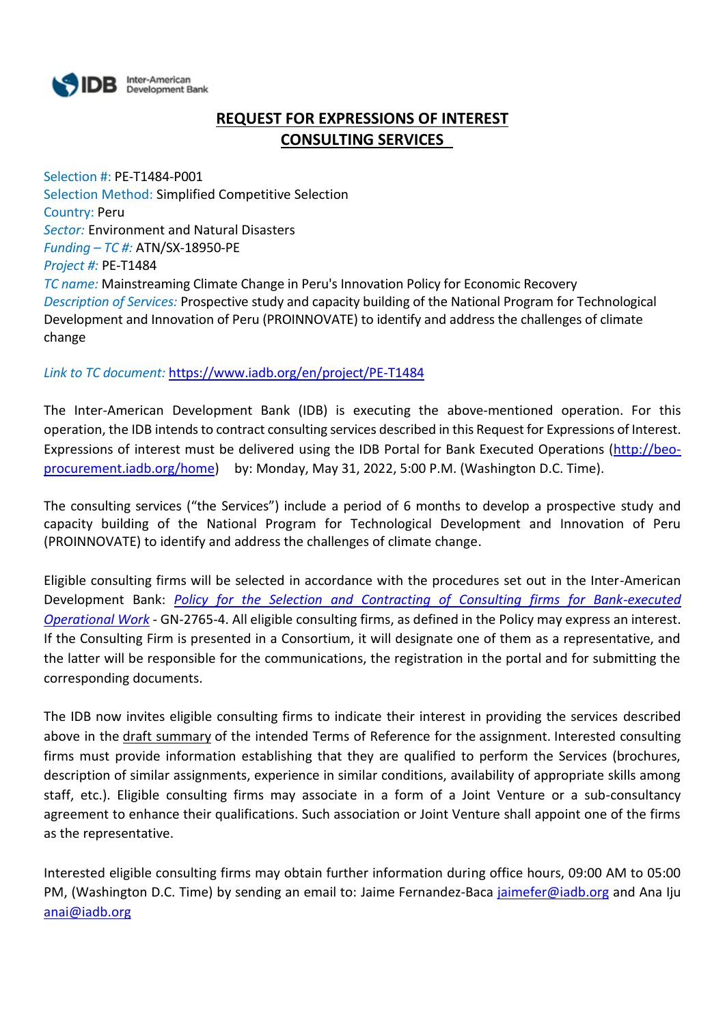

# **REQUEST FOR EXPRESSIONS OF INTEREST CONSULTING SERVICES**

Selection #: PE-T1484-P001 Selection Method: Simplified Competitive Selection Country: Peru *Sector:* Environment and Natural Disasters *Funding – TC #:* ATN/SX-18950-PE *Project #:* PE-T1484 *TC name:* Mainstreaming Climate Change in Peru's Innovation Policy for Economic Recovery *Description of Services:* Prospective study and capacity building of the National Program for Technological Development and Innovation of Peru (PROINNOVATE) to identify and address the challenges of climate change

*Link to TC document:* <https://www.iadb.org/en/project/PE-T1484>

The Inter-American Development Bank (IDB) is executing the above-mentioned operation. For this operation, the IDB intends to contract consulting services described in this Request for Expressions of Interest. Expressions of interest must be delivered using the IDB Portal for Bank Executed Operations [\(http://beo](http://beo-procurement.iadb.org/home)[procurement.iadb.org/home\)](http://beo-procurement.iadb.org/home) by: Monday, May 31, 2022, 5:00 P.M. (Washington D.C. Time).

The consulting services ("the Services") include a period of 6 months to develop a prospective study and capacity building of the National Program for Technological Development and Innovation of Peru (PROINNOVATE) to identify and address the challenges of climate change.

Eligible consulting firms will be selected in accordance with the procedures set out in the Inter-American Development Bank: *[Policy for the Selection and Contracting of Consulting firms for Bank-executed](http://idbdocs.iadb.org/wsdocs/getdocument.aspx?DOCNUM=38988574)  [Operational Work](http://idbdocs.iadb.org/wsdocs/getdocument.aspx?DOCNUM=38988574)* - GN-2765-4. All eligible consulting firms, as defined in the Policy may express an interest. If the Consulting Firm is presented in a Consortium, it will designate one of them as a representative, and the latter will be responsible for the communications, the registration in the portal and for submitting the corresponding documents.

The IDB now invites eligible consulting firms to indicate their interest in providing the services described above in the draft summary of the intended Terms of Reference for the assignment. Interested consulting firms must provide information establishing that they are qualified to perform the Services (brochures, description of similar assignments, experience in similar conditions, availability of appropriate skills among staff, etc.). Eligible consulting firms may associate in a form of a Joint Venture or a sub-consultancy agreement to enhance their qualifications. Such association or Joint Venture shall appoint one of the firms as the representative.

Interested eligible consulting firms may obtain further information during office hours, 09:00 AM to 05:00 PM, (Washington D.C. Time) by sending an email to: Jaime Fernandez-Baca [jaimefer@iadb.org](mailto:jaimefer@iadb.org) and Ana Iju [anai@iadb.org](mailto:anai@iadb.org)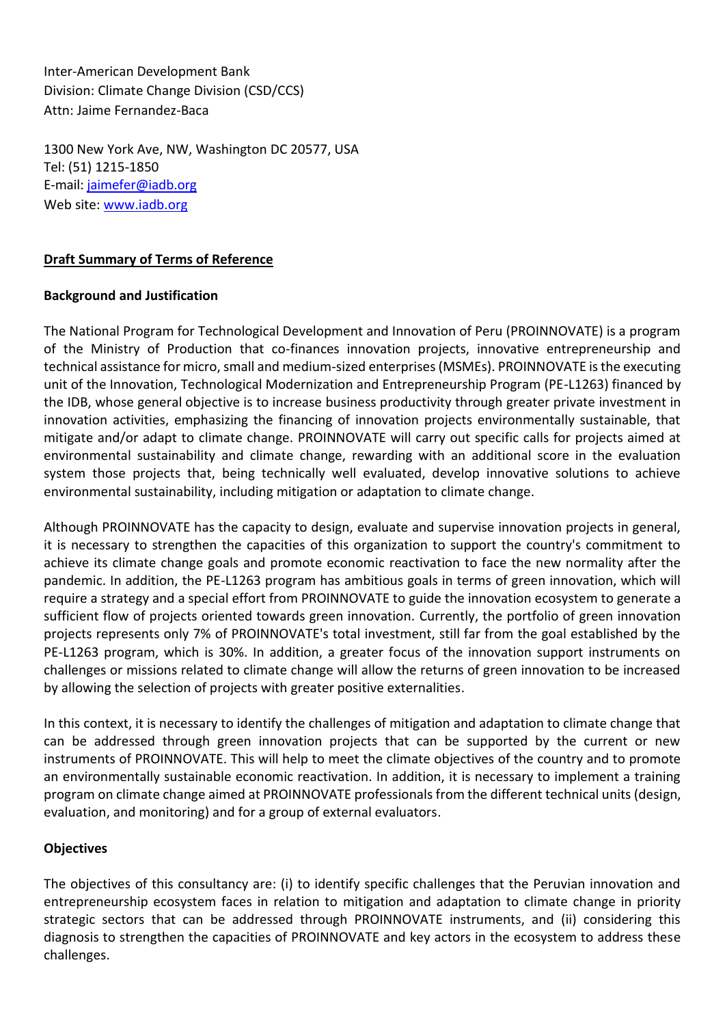Inter-American Development Bank Division: Climate Change Division (CSD/CCS) Attn: Jaime Fernandez-Baca

1300 New York Ave, NW, Washington DC 20577, USA Tel: (51) 1215-1850 E-mail: [jaimefer@iadb.org](mailto:jaimefer@iadb.org) Web site: [www.iadb.org](http://www.iadb.org/)

### **Draft Summary of Terms of Reference**

### **Background and Justification**

The National Program for Technological Development and Innovation of Peru (PROINNOVATE) is a program of the Ministry of Production that co-finances innovation projects, innovative entrepreneurship and technical assistance for micro, small and medium-sized enterprises (MSMEs). PROINNOVATE is the executing unit of the Innovation, Technological Modernization and Entrepreneurship Program (PE-L1263) financed by the IDB, whose general objective is to increase business productivity through greater private investment in innovation activities, emphasizing the financing of innovation projects environmentally sustainable, that mitigate and/or adapt to climate change. PROINNOVATE will carry out specific calls for projects aimed at environmental sustainability and climate change, rewarding with an additional score in the evaluation system those projects that, being technically well evaluated, develop innovative solutions to achieve environmental sustainability, including mitigation or adaptation to climate change.

Although PROINNOVATE has the capacity to design, evaluate and supervise innovation projects in general, it is necessary to strengthen the capacities of this organization to support the country's commitment to achieve its climate change goals and promote economic reactivation to face the new normality after the pandemic. In addition, the PE-L1263 program has ambitious goals in terms of green innovation, which will require a strategy and a special effort from PROINNOVATE to guide the innovation ecosystem to generate a sufficient flow of projects oriented towards green innovation. Currently, the portfolio of green innovation projects represents only 7% of PROINNOVATE's total investment, still far from the goal established by the PE-L1263 program, which is 30%. In addition, a greater focus of the innovation support instruments on challenges or missions related to climate change will allow the returns of green innovation to be increased by allowing the selection of projects with greater positive externalities.

In this context, it is necessary to identify the challenges of mitigation and adaptation to climate change that can be addressed through green innovation projects that can be supported by the current or new instruments of PROINNOVATE. This will help to meet the climate objectives of the country and to promote an environmentally sustainable economic reactivation. In addition, it is necessary to implement a training program on climate change aimed at PROINNOVATE professionals from the different technical units (design, evaluation, and monitoring) and for a group of external evaluators.

### **Objectives**

The objectives of this consultancy are: (i) to identify specific challenges that the Peruvian innovation and entrepreneurship ecosystem faces in relation to mitigation and adaptation to climate change in priority strategic sectors that can be addressed through PROINNOVATE instruments, and (ii) considering this diagnosis to strengthen the capacities of PROINNOVATE and key actors in the ecosystem to address these challenges.